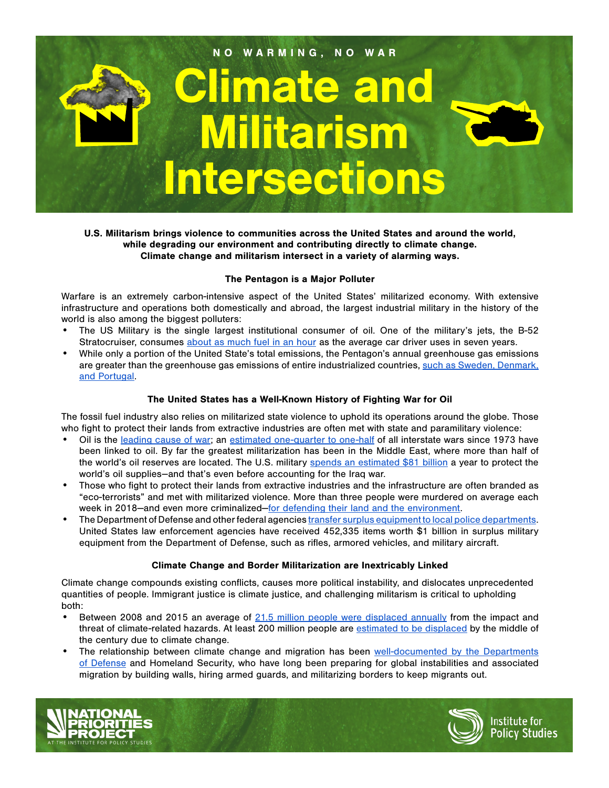

U.S. Militarism brings violence to communities across the United States and around the world, while degrading our environment and contributing directly to climate change. Climate change and militarism intersect in a variety of alarming ways.

#### The Pentagon is a Major Polluter

Warfare is an extremely carbon-intensive aspect of the United States' militarized economy. With extensive infrastructure and operations both domestically and abroad, the largest industrial military in the history of the world is also among the biggest polluters:

- The US Military is the single largest institutional consumer of oil. One of the military's jets, the B-52 Stratocruiser, consumes [about as much fuel in an hour](https://www.tni.org/en/article/climate-change-capitalism-and-the-military) as the average car driver uses in seven years.
- While only a portion of the United State's total emissions, the Pentagon's annual greenhouse gas emissions are greater than the greenhouse gas emissions of entire industrialized countries, such as Sweden, Denmark, [and Portugal](https://watson.brown.edu/costsofwar/files/cow/imce/papers/Pentagon%20Fuel%20Use%2C%20Climate%20Change%20and%20the%20Costs%20of%20War%20Revised%20November%202019%20Crawford.pdf).

# The United States has a Well-Known History of Fighting War for Oil

The fossil fuel industry also relies on militarized state violence to uphold its operations around the globe. Those who fight to protect their lands from extractive industries are often met with state and paramilitary violence:

- Oil is the [leading cause of war;](https://www.belfercenter.org/publication/oil-conflict-and-us-national-interests) an [estimated one-quarter to one-half](http://priceofoil.org/thepriceofoil/war-terror/) of all interstate wars since 1973 have been linked to oil. By far the greatest militarization has been in the Middle East, where more than half of the world's oil reserves are located. The U.S. military [spends an estimated \\$81 billion](https://secureenergy.org/wp-content/uploads/2018/09/Military-Cost-of-Defending-the-Global-Oil-Supply.-Sep.-18.-2018.pdf) a year to protect the world's oil supplies--and that's even before accounting for the Iraq war.
- Those who fight to protect their lands from extractive industries and the infrastructure are often branded as "eco-terrorists" and met with militarized violence. More than three people were murdered on average each week in 2018–and even more criminalized–[for defending their land and the environment.](https://www.globalwitness.org/en/campaigns/environmental-activists/enemies-state/)
- The Department of Defense and other federal agencies [transfer surplus equipment to local police departments](https://www.npr.org/2014/09/02/342494225/mraps-and-bayonets-what-we-know-about-the-pentagons-1033-program). United States law enforcement agencies [have received](https://www.poorpeoplescampaign.org/wp-content/uploads/2020/04/Defund-Militarism_UnitedStates.pdf) 452,335 items worth \$1 billion in surplus military equipment from the Department of Defense, such as rifles, armored vehicles, and military aircraft.

## Climate Change and Border Militarization are Inextricably Linked

Climate change compounds existing conflicts, causes more political instability, and dislocates unprecedented quantities of people. Immigrant justice is climate justice, and challenging militarism is critical to upholding both:

- Between 2008 and 2015 an average of [21.5 million people were displaced annually](https://www.internal-displacement.org/sites/default/files/publications/documents/2016-global-report-internal-displacement-IDMC.pdf) from the impact and threat of climate-related hazards. At least 200 million people are [estimated to be displaced](https://publications.iom.int/books/mrs-ndeg31-migration-and-climate-change) by the middle of the century due to climate change.
- The relationship between climate change and migration has been well-documented by the Departments [of Defense](https://eesc.columbia.edu/courses/v1003/readings/Pentagon.pdf) and Homeland Security, who have long been preparing for global instabilities and associated migration by building walls, hiring armed guards, and militarizing borders to keep migrants out.